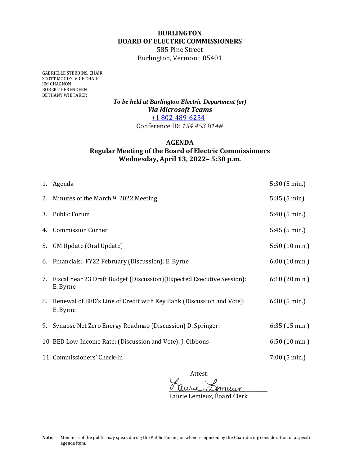## **BURLINGTON BOARD OF ELECTRIC COMMISSIONERS**

585 Pine Street Burlington, Vermont 05401

GABRIELLE STEBBINS, CHAIR SCOTT MOODY, VICE CHAIR JIM CHAGNON ROBERT HERENDEEN BETHANY WHITAKER

> *To be held at Burlington Electric Department (or) Via Microsoft Teams* +1 802-489-6254 Conference ID: *154 453 814#*

## **AGENDA Regular Meeting of the Board of Electric Commissioners Wednesday, April 13, 2022– 5:30 p.m.**

|    | 1. Agenda                                                                             | 5:30(5 min.)            |
|----|---------------------------------------------------------------------------------------|-------------------------|
|    | 2. Minutes of the March 9, 2022 Meeting                                               | 5:35(5 min)             |
|    | 3. Public Forum                                                                       | 5:40(5 min.)            |
|    | 4. Commission Corner                                                                  | 5:45(5 min.)            |
| 5. | GM Update (Oral Update)                                                               | $5:50(10 \text{ min.})$ |
|    | 6. Financials: FY22 February (Discussion): E. Byrne                                   | $6:00(10 \text{ min.})$ |
|    | 7. Fiscal Year 23 Draft Budget (Discussion) (Expected Executive Session):<br>E. Byrne | $6:10(20 \text{ min.})$ |
|    | 8. Renewal of BED's Line of Credit with Key Bank (Discussion and Vote):<br>E. Byrne   | 6:30(5 min.)            |
|    | 9. Synapse Net Zero Energy Roadmap (Discussion) D. Springer:                          | $6:35(15 \text{ min.})$ |
|    | 10. BED Low-Income Rate: (Discussion and Vote): J. Gibbons                            | $6:50(10 \text{ min.})$ |
|    | 11. Commissioners' Check-In                                                           | $7:00$ (5 min.)         |

Attest: <u>a uuril algoniar</u>

Laurie Lemieux, Board Clerk